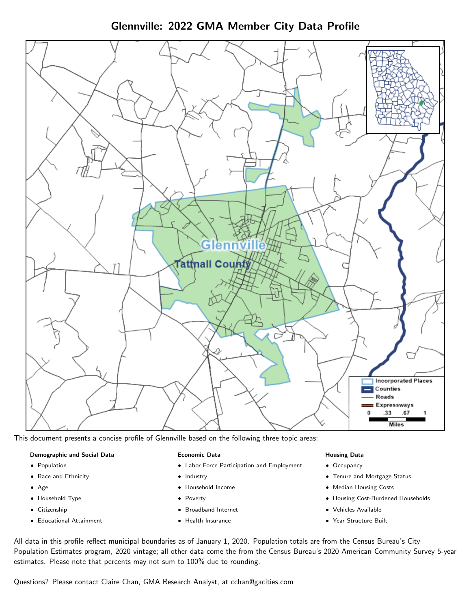Glennville: 2022 GMA Member City Data Profile



This document presents a concise profile of Glennville based on the following three topic areas:

#### Demographic and Social Data

- **•** Population
- Race and Ethnicity
- Age
- Household Type
- **Citizenship**
- Educational Attainment

#### Economic Data

- Labor Force Participation and Employment
- Industry
- Household Income
- Poverty
- Broadband Internet
- Health Insurance

### Housing Data

- Occupancy
- Tenure and Mortgage Status
- Median Housing Costs
- Housing Cost-Burdened Households
- Vehicles Available
- Year Structure Built

All data in this profile reflect municipal boundaries as of January 1, 2020. Population totals are from the Census Bureau's City Population Estimates program, 2020 vintage; all other data come the from the Census Bureau's 2020 American Community Survey 5-year estimates. Please note that percents may not sum to 100% due to rounding.

Questions? Please contact Claire Chan, GMA Research Analyst, at [cchan@gacities.com.](mailto:cchan@gacities.com)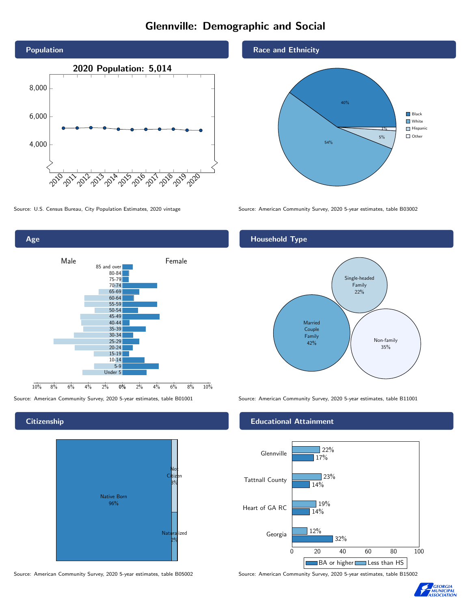# Glennville: Demographic and Social





### **Citizenship**



Source: American Community Survey, 2020 5-year estimates, table B05002 Source: American Community Survey, 2020 5-year estimates, table B15002

### Race and Ethnicity



Source: U.S. Census Bureau, City Population Estimates, 2020 vintage Source: American Community Survey, 2020 5-year estimates, table B03002

## Household Type



Source: American Community Survey, 2020 5-year estimates, table B01001 Source: American Community Survey, 2020 5-year estimates, table B11001

#### Educational Attainment



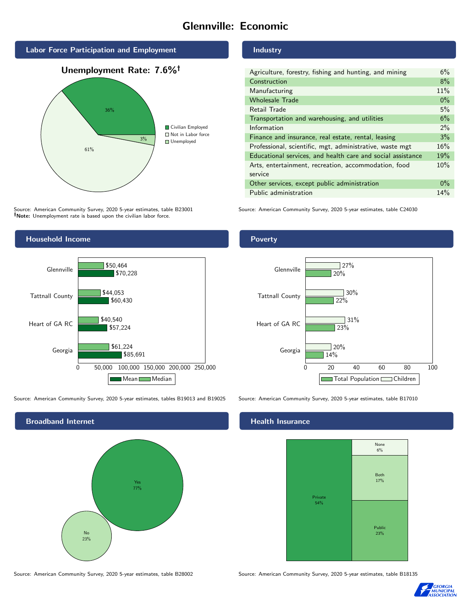# Glennville: Economic



Source: American Community Survey, 2020 5-year estimates, table B23001 Note: Unemployment rate is based upon the civilian labor force.

## Industry

| Agriculture, forestry, fishing and hunting, and mining      | 6%    |
|-------------------------------------------------------------|-------|
| Construction                                                | 8%    |
| Manufacturing                                               | 11%   |
| <b>Wholesale Trade</b>                                      | $0\%$ |
| Retail Trade                                                | 5%    |
| Transportation and warehousing, and utilities               | 6%    |
| Information                                                 | $2\%$ |
| Finance and insurance, real estate, rental, leasing         | 3%    |
| Professional, scientific, mgt, administrative, waste mgt    | 16%   |
| Educational services, and health care and social assistance | 19%   |
| Arts, entertainment, recreation, accommodation, food        | 10%   |
| service                                                     |       |
| Other services, except public administration                | $0\%$ |
| Public administration                                       | 14%   |

Source: American Community Survey, 2020 5-year estimates, table C24030



Source: American Community Survey, 2020 5-year estimates, tables B19013 and B19025 Source: American Community Survey, 2020 5-year estimates, table B17010





## **Health Insurance**



Source: American Community Survey, 2020 5-year estimates, table B28002 Source: American Community Survey, 2020 5-year estimates, table B18135